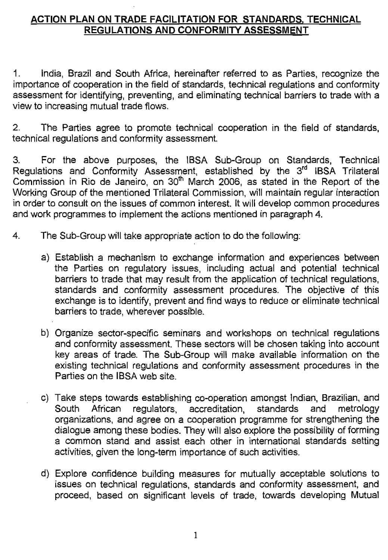## ACTION PLAN ON TRADE FACILITATION FOR STANDARDS, TECHNICAL REGULATIONS AND CONFORMITY ASSESSMENT

1. India, Brazil and South Africa, hereinafter referred to as Parties, recognize the importance of cooperation in the field of standards, technical regulations and conformity assessment for identifying, preventing, and eliminating technical barriers to trade with a view to increasing mutual trade flows.

2. The Parties agree to promote technical cooperation in the field of standards, technical regulations and conformity assessment

3. For the above purposes, the IBSA Sub-Group on Standards, Technical Regulations and Conformity Assessment, established by the 3<sup>rd</sup> IBSA Trilateral Commission in Rio de Janeiro, on 30<sup>th</sup> March 2006, as stated in the Report of the Working Group of the mentioned Trilateral Commission, will maintain regular interaction in order to consult on the issues of common interest. It will develop common procedures and work programmes to implement the actions mentioned in paragraph 4.

- 4. The Sub-Group will take appropriate action to do the following:
	- a) Establish a mechanism to exchange information and experiences between the Parties on regulatory issues, including actual and potential technical barriers to trade that may result from the application of technical regulations, standards and conformity assessment procedures. The objective of this exchange is to identify, prevent and find ways to reduce or eliminate technical barriers to trade, wherever possible.
	- b) Organize sector-specific seminars and workshops on technical regulations and conformity assessment. These sectors will be chosen taking into account key areas of trade. The Sub-Group will make available information on the existing technical regulations and conformity assessment procedures in the Parties on the IBSA web site.
	- c) Take steps towards establishing co-operation amongst Indian, Brazilian, and<br>South African regulators, accreditation, standards and metrology South African regulators, accreditation, standards and organizations, and agree on a cooperation programme for strengthening the dialogue among these bodies. They will also explore the possibility of forming a common stand and assist each other in international standards setting activities, given the long-term importance of such activities.
	- d) Explore confidence building measures for mutually acceptable solutions to issues on technical regulations, standards and conformity assessment, and proceed, based on significant levels of trade, towards developing Mutual